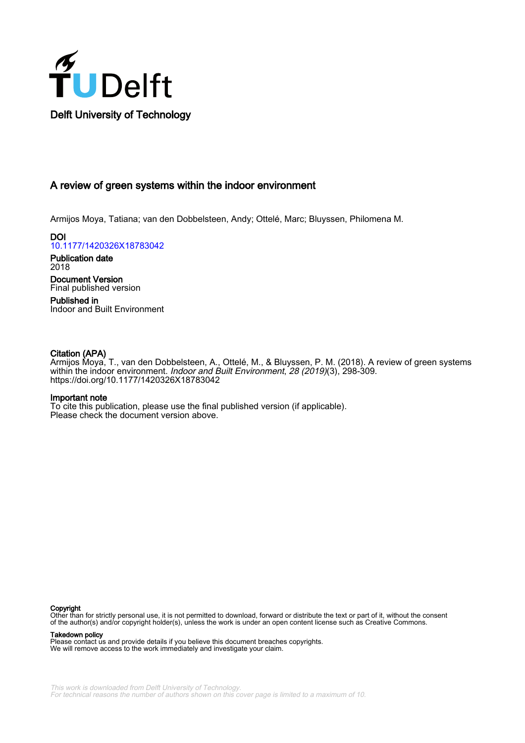

A review of green systems within the indoor environment

Armijos Moya, Tatiana; van den Dobbelsteen, Andy; Ottelé, Marc; Bluyssen, Philomena M.

**DOI** [10.1177/1420326X18783042](https://doi.org/10.1177/1420326X18783042)

Publication date 2018 Document Version

Final published version

Published in Indoor and Built Environment

#### Citation (APA)

Armijos Moya, T., van den Dobbelsteen, A., Ottelé, M., & Bluyssen, P. M. (2018). A review of green systems within the indoor environment. Indoor and Built Environment, 28 (2019)(3), 298-309. <https://doi.org/10.1177/1420326X18783042>

#### Important note

To cite this publication, please use the final published version (if applicable). Please check the document version above.

#### Copyright

Other than for strictly personal use, it is not permitted to download, forward or distribute the text or part of it, without the consent of the author(s) and/or copyright holder(s), unless the work is under an open content license such as Creative Commons.

Takedown policy

Please contact us and provide details if you believe this document breaches copyrights. We will remove access to the work immediately and investigate your claim.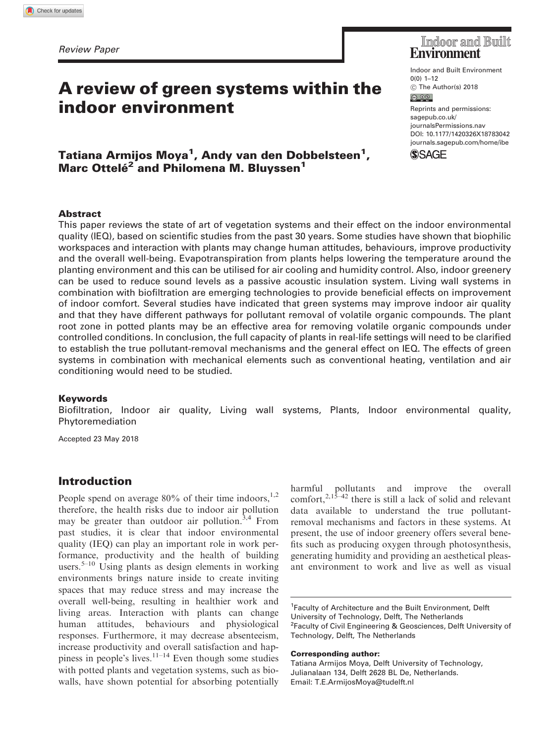# A review of green systems within the indoor environment

# Tatiana Armijos Moya<sup>1</sup>, Andy van den Dobbelsteen<sup>1</sup>, Marc Ottelé<sup>2</sup> and Philomena M. Bluyssen<sup>1</sup>

# Review Paper **Indoor and Built Environment**

Indoor and Built Environment 0(0) 1–12  $\circ$  The Author(s) 2018  $\odot$   $\odot$ 

Reprints and permissions: [sagepub.co.uk/](http://uk.sagepub.com/en-gb/journals-permissions) [journalsPermissions.nav](http://uk.sagepub.com/en-gb/journals-permissions) [DOI: 10.1177/1420326X18783042](http://dx.doi.org/10.1177/1420326X18783042) <journals.sagepub.com/home/ibe>



#### **Abstract**

This paper reviews the state of art of vegetation systems and their effect on the indoor environmental quality (IEQ), based on scientific studies from the past 30 years. Some studies have shown that biophilic workspaces and interaction with plants may change human attitudes, behaviours, improve productivity and the overall well-being. Evapotranspiration from plants helps lowering the temperature around the planting environment and this can be utilised for air cooling and humidity control. Also, indoor greenery can be used to reduce sound levels as a passive acoustic insulation system. Living wall systems in combination with biofiltration are emerging technologies to provide beneficial effects on improvement of indoor comfort. Several studies have indicated that green systems may improve indoor air quality and that they have different pathways for pollutant removal of volatile organic compounds. The plant root zone in potted plants may be an effective area for removing volatile organic compounds under controlled conditions. In conclusion, the full capacity of plants in real-life settings will need to be clarified to establish the true pollutant-removal mechanisms and the general effect on IEQ. The effects of green systems in combination with mechanical elements such as conventional heating, ventilation and air conditioning would need to be studied.

#### Keywords

Biofiltration, Indoor air quality, Living wall systems, Plants, Indoor environmental quality, Phytoremediation

Accepted 23 May 2018

### Introduction

People spend on average  $80\%$  of their time indoors,<sup>1,2</sup> therefore, the health risks due to indoor air pollution may be greater than outdoor air pollution.<sup>3,4</sup> From past studies, it is clear that indoor environmental quality (IEQ) can play an important role in work performance, productivity and the health of building users. $5-10$  Using plants as design elements in working environments brings nature inside to create inviting spaces that may reduce stress and may increase the overall well-being, resulting in healthier work and living areas. Interaction with plants can change human attitudes, behaviours and physiological responses. Furthermore, it may decrease absenteeism, increase productivity and overall satisfaction and happiness in people's lives.<sup>11–14</sup> Even though some studies with potted plants and vegetation systems, such as biowalls, have shown potential for absorbing potentially

harmful pollutants and improve the overall comfort,<sup>2,15–42</sup> there is still a lack of solid and relevant data available to understand the true pollutantremoval mechanisms and factors in these systems. At present, the use of indoor greenery offers several benefits such as producing oxygen through photosynthesis, generating humidity and providing an aesthetical pleasant environment to work and live as well as visual

#### Corresponding author:

<sup>&</sup>lt;sup>1</sup> Faculty of Architecture and the Built Environment, Delft University of Technology, Delft, The Netherlands <sup>2</sup> Faculty of Civil Engineering & Geosciences, Delft University of Technology, Delft, The Netherlands

Tatiana Armijos Moya, Delft University of Technology, Julianalaan 134, Delft 2628 BL De, Netherlands. Email: [T.E.ArmijosMoya@tudelft.nl](mailto:T.E.ArmijosMoya@tudelft.nl)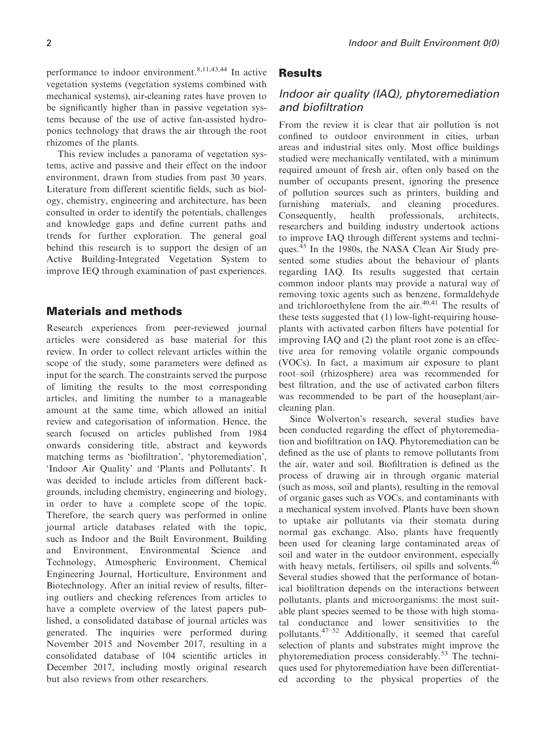performance to indoor environment.<sup>8,11,43,44</sup> In active vegetation systems (vegetation systems combined with mechanical systems), air-cleaning rates have proven to be significantly higher than in passive vegetation systems because of the use of active fan-assisted hydroponics technology that draws the air through the root rhizomes of the plants.

This review includes a panorama of vegetation systems, active and passive and their effect on the indoor environment, drawn from studies from past 30 years. Literature from different scientific fields, such as biology, chemistry, engineering and architecture, has been consulted in order to identify the potentials, challenges and knowledge gaps and define current paths and trends for further exploration. The general goal behind this research is to support the design of an Active Building-Integrated Vegetation System to improve IEQ through examination of past experiences.

#### Materials and methods

Research experiences from peer-reviewed journal articles were considered as base material for this review. In order to collect relevant articles within the scope of the study, some parameters were defined as input for the search. The constraints served the purpose of limiting the results to the most corresponding articles, and limiting the number to a manageable amount at the same time, which allowed an initial review and categorisation of information. Hence, the search focused on articles published from 1984 onwards considering title, abstract and keywords matching terms as 'biofiltration', 'phytoremediation', 'Indoor Air Quality' and 'Plants and Pollutants'. It was decided to include articles from different backgrounds, including chemistry, engineering and biology, in order to have a complete scope of the topic. Therefore, the search query was performed in online journal article databases related with the topic, such as Indoor and the Built Environment, Building and Environment, Environmental Science and Technology, Atmospheric Environment, Chemical Engineering Journal, Horticulture, Environment and Biotechnology. After an initial review of results, filtering outliers and checking references from articles to have a complete overview of the latest papers published, a consolidated database of journal articles was generated. The inquiries were performed during November 2015 and November 2017, resulting in a consolidated database of 104 scientific articles in December 2017, including mostly original research but also reviews from other researchers.

### **Results**

### Indoor air quality (IAQ), phytoremediation and biofiltration

From the review it is clear that air pollution is not confined to outdoor environment in cities, urban areas and industrial sites only. Most office buildings studied were mechanically ventilated, with a minimum required amount of fresh air, often only based on the number of occupants present, ignoring the presence of pollution sources such as printers, building and furnishing materials, and cleaning procedures. Consequently, health professionals, architects, researchers and building industry undertook actions to improve IAQ through different systems and techniques.<sup>45</sup> In the 1980s, the NASA Clean Air Study presented some studies about the behaviour of plants regarding IAQ. Its results suggested that certain common indoor plants may provide a natural way of removing toxic agents such as benzene, formaldehyde and trichloroethylene from the air. $40,41$  The results of these tests suggested that (1) low-light-requiring houseplants with activated carbon filters have potential for improving IAQ and (2) the plant root zone is an effective area for removing volatile organic compounds (VOCs). In fact, a maximum air exposure to plant root–soil (rhizosphere) area was recommended for best filtration, and the use of activated carbon filters was recommended to be part of the houseplant/aircleaning plan.

Since Wolverton's research, several studies have been conducted regarding the effect of phytoremediation and biofiltration on IAQ. Phytoremediation can be defined as the use of plants to remove pollutants from the air, water and soil. Biofiltration is defined as the process of drawing air in through organic material (such as moss, soil and plants), resulting in the removal of organic gases such as VOCs, and contaminants with a mechanical system involved. Plants have been shown to uptake air pollutants via their stomata during normal gas exchange. Also, plants have frequently been used for cleaning large contaminated areas of soil and water in the outdoor environment, especially with heavy metals, fertilisers, oil spills and solvents.<sup>46</sup> Several studies showed that the performance of botanical biofiltration depends on the interactions between pollutants, plants and microorganisms: the most suitable plant species seemed to be those with high stomatal conductance and lower sensitivities to the pollutants.47–52 Additionally, it seemed that careful selection of plants and substrates might improve the phytoremediation process considerably.<sup>53</sup> The techniques used for phytoremediation have been differentiated according to the physical properties of the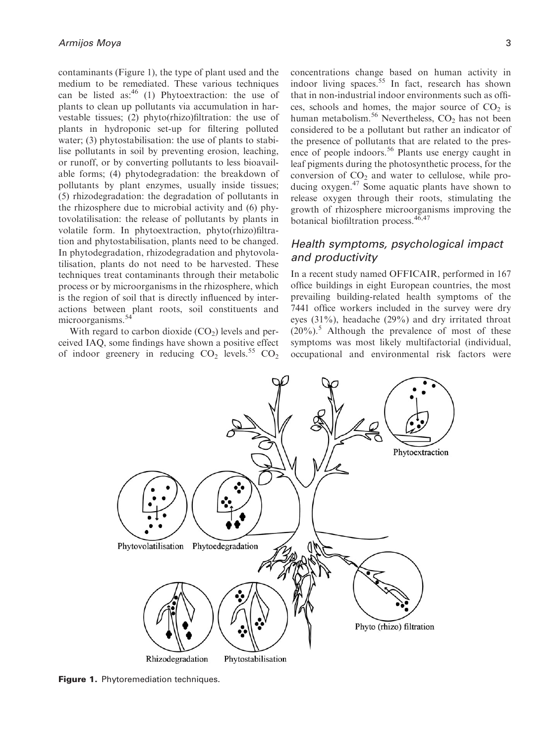contaminants (Figure 1), the type of plant used and the medium to be remediated. These various techniques can be listed as: $46$  (1) Phytoextraction: the use of plants to clean up pollutants via accumulation in harvestable tissues; (2) phyto(rhizo)filtration: the use of plants in hydroponic set-up for filtering polluted water; (3) phytostabilisation: the use of plants to stabilise pollutants in soil by preventing erosion, leaching, or runoff, or by converting pollutants to less bioavailable forms; (4) phytodegradation: the breakdown of pollutants by plant enzymes, usually inside tissues; (5) rhizodegradation: the degradation of pollutants in the rhizosphere due to microbial activity and (6) phytovolatilisation: the release of pollutants by plants in volatile form. In phytoextraction, phyto(rhizo)filtration and phytostabilisation, plants need to be changed. In phytodegradation, rhizodegradation and phytovolatilisation, plants do not need to be harvested. These techniques treat contaminants through their metabolic process or by microorganisms in the rhizosphere, which is the region of soil that is directly influenced by interactions between plant roots, soil constituents and microorganisms.<sup>54</sup>

With regard to carbon dioxide  $(CO<sub>2</sub>)$  levels and perceived IAQ, some findings have shown a positive effect of indoor greenery in reducing  $CO_2$  levels.<sup>55</sup>  $CO_2$ 

concentrations change based on human activity in indoor living spaces.<sup>55</sup> In fact, research has shown that in non-industrial indoor environments such as offices, schools and homes, the major source of  $CO<sub>2</sub>$  is human metabolism.<sup>56</sup> Nevertheless,  $CO<sub>2</sub>$  has not been considered to be a pollutant but rather an indicator of the presence of pollutants that are related to the presence of people indoors.<sup>56</sup> Plants use energy caught in leaf pigments during the photosynthetic process, for the conversion of  $CO<sub>2</sub>$  and water to cellulose, while producing oxygen.47 Some aquatic plants have shown to release oxygen through their roots, stimulating the growth of rhizosphere microorganisms improving the botanical biofiltration process. $46,47$ 

### Health symptoms, psychological impact and productivity

In a recent study named OFFICAIR, performed in 167 office buildings in eight European countries, the most prevailing building-related health symptoms of the 7441 office workers included in the survey were dry eyes (31%), headache (29%) and dry irritated throat  $(20\%)$ <sup>5</sup>. Although the prevalence of most of these symptoms was most likely multifactorial (individual, occupational and environmental risk factors were



Figure 1. Phytoremediation techniques.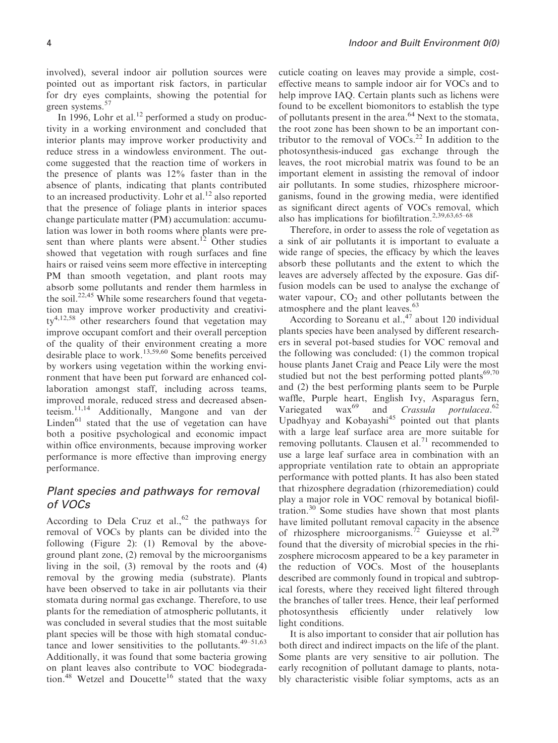involved), several indoor air pollution sources were pointed out as important risk factors, in particular for dry eyes complaints, showing the potential for green systems.<sup>57</sup>

In 1996, Lohr et al.<sup>12</sup> performed a study on productivity in a working environment and concluded that interior plants may improve worker productivity and reduce stress in a windowless environment. The outcome suggested that the reaction time of workers in the presence of plants was 12% faster than in the absence of plants, indicating that plants contributed to an increased productivity. Lohr et al.<sup>12</sup> also reported that the presence of foliage plants in interior spaces change particulate matter (PM) accumulation: accumulation was lower in both rooms where plants were present than where plants were absent.<sup>12</sup> Other studies showed that vegetation with rough surfaces and fine hairs or raised veins seem more effective in intercepting PM than smooth vegetation, and plant roots may absorb some pollutants and render them harmless in the soil.<sup>22,45</sup> While some researchers found that vegetation may improve worker productivity and creativity4,12,58 other researchers found that vegetation may improve occupant comfort and their overall perception of the quality of their environment creating a more desirable place to work.<sup>13,59,60</sup> Some benefits perceived by workers using vegetation within the working environment that have been put forward are enhanced collaboration amongst staff, including across teams, improved morale, reduced stress and decreased absenteeism.11,14 Additionally, Mangone and van der Linden $^{61}$  stated that the use of vegetation can have both a positive psychological and economic impact within office environments, because improving worker performance is more effective than improving energy performance.

### Plant species and pathways for removal of VOCs

According to Dela Cruz et al.,  $62$  the pathways for removal of VOCs by plants can be divided into the following (Figure 2): (1) Removal by the aboveground plant zone, (2) removal by the microorganisms living in the soil, (3) removal by the roots and (4) removal by the growing media (substrate). Plants have been observed to take in air pollutants via their stomata during normal gas exchange. Therefore, to use plants for the remediation of atmospheric pollutants, it was concluded in several studies that the most suitable plant species will be those with high stomatal conductance and lower sensitivities to the pollutants. $49-51,63$ Additionally, it was found that some bacteria growing on plant leaves also contribute to VOC biodegradation.<sup>48</sup> Wetzel and Doucette<sup>16</sup> stated that the waxy

cuticle coating on leaves may provide a simple, costeffective means to sample indoor air for VOCs and to help improve IAQ. Certain plants such as lichens were found to be excellent biomonitors to establish the type of pollutants present in the area.<sup>64</sup> Next to the stomata, the root zone has been shown to be an important contributor to the removal of  $VOCs$ <sup>22</sup> In addition to the photosynthesis-induced gas exchange through the leaves, the root microbial matrix was found to be an important element in assisting the removal of indoor air pollutants. In some studies, rhizosphere microorganisms, found in the growing media, were identified as significant direct agents of VOCs removal, which also has implications for biofiltration.2,39,63,65–68

Therefore, in order to assess the role of vegetation as a sink of air pollutants it is important to evaluate a wide range of species, the efficacy by which the leaves absorb these pollutants and the extent to which the leaves are adversely affected by the exposure. Gas diffusion models can be used to analyse the exchange of water vapour,  $CO<sub>2</sub>$  and other pollutants between the atmosphere and the plant leaves.<sup>63</sup>

According to Soreanu et al., $47$  about 120 individual plants species have been analysed by different researchers in several pot-based studies for VOC removal and the following was concluded: (1) the common tropical house plants Janet Craig and Peace Lily were the most studied but not the best performing potted plants $69,70$ and (2) the best performing plants seem to be Purple waffle, Purple heart, English Ivy, Asparagus fern, Variegated wax<sup>69</sup> and Crassula portulacea.<sup>62</sup> Upadhyay and Kobayashi<sup>45</sup> pointed out that plants with a large leaf surface area are more suitable for removing pollutants. Clausen et al.<sup>71</sup> recommended to use a large leaf surface area in combination with an appropriate ventilation rate to obtain an appropriate performance with potted plants. It has also been stated that rhizosphere degradation (rhizoremediation) could play a major role in VOC removal by botanical biofiltration.<sup>30</sup> Some studies have shown that most plants have limited pollutant removal capacity in the absence of rhizosphere microorganisms.<sup>72</sup> Guieysse et al.<sup>29</sup> found that the diversity of microbial species in the rhizosphere microcosm appeared to be a key parameter in the reduction of VOCs. Most of the houseplants described are commonly found in tropical and subtropical forests, where they received light filtered through the branches of taller trees. Hence, their leaf performed photosynthesis efficiently under relatively low light conditions.

It is also important to consider that air pollution has both direct and indirect impacts on the life of the plant. Some plants are very sensitive to air pollution. The early recognition of pollutant damage to plants, notably characteristic visible foliar symptoms, acts as an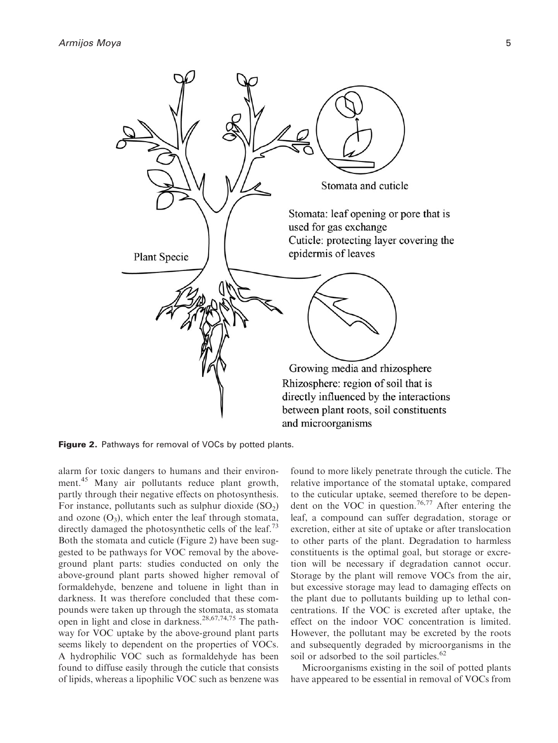

**Figure 2.** Pathways for removal of VOCs by potted plants.

alarm for toxic dangers to humans and their environment.<sup>45</sup> Many air pollutants reduce plant growth, partly through their negative effects on photosynthesis. For instance, pollutants such as sulphur dioxide  $(SO<sub>2</sub>)$ and ozone  $(O_3)$ , which enter the leaf through stomata, directly damaged the photosynthetic cells of the leaf.<sup>73</sup> Both the stomata and cuticle (Figure 2) have been suggested to be pathways for VOC removal by the aboveground plant parts: studies conducted on only the above-ground plant parts showed higher removal of formaldehyde, benzene and toluene in light than in darkness. It was therefore concluded that these compounds were taken up through the stomata, as stomata open in light and close in darkness.<sup>28,67,74,75</sup> The pathway for VOC uptake by the above-ground plant parts seems likely to dependent on the properties of VOCs. A hydrophilic VOC such as formaldehyde has been found to diffuse easily through the cuticle that consists of lipids, whereas a lipophilic VOC such as benzene was found to more likely penetrate through the cuticle. The relative importance of the stomatal uptake, compared to the cuticular uptake, seemed therefore to be dependent on the VOC in question.<sup>76,77</sup> After entering the leaf, a compound can suffer degradation, storage or excretion, either at site of uptake or after translocation to other parts of the plant. Degradation to harmless constituents is the optimal goal, but storage or excretion will be necessary if degradation cannot occur. Storage by the plant will remove VOCs from the air, but excessive storage may lead to damaging effects on the plant due to pollutants building up to lethal concentrations. If the VOC is excreted after uptake, the effect on the indoor VOC concentration is limited. However, the pollutant may be excreted by the roots and subsequently degraded by microorganisms in the soil or adsorbed to the soil particles.<sup>62</sup>

Microorganisms existing in the soil of potted plants have appeared to be essential in removal of VOCs from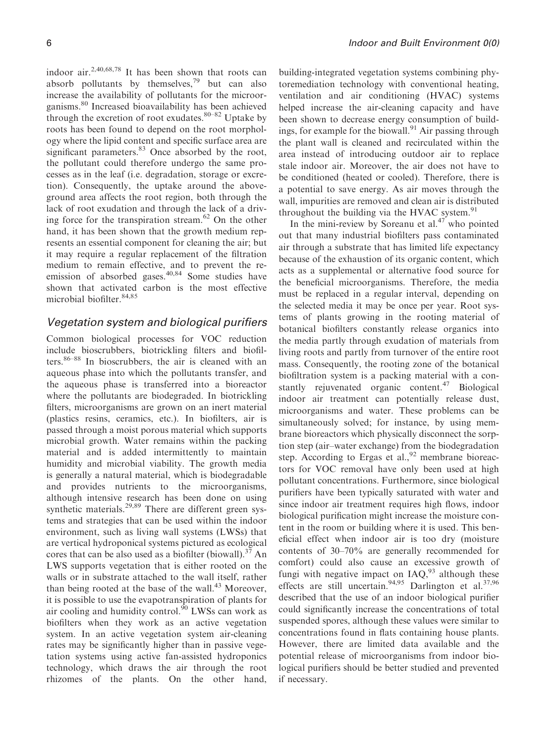indoor air.<sup>2,40,68,78</sup> It has been shown that roots can absorb pollutants by themselves, $79$  but can also increase the availability of pollutants for the microorganisms.<sup>80</sup> Increased bioavailability has been achieved through the excretion of root exudates. $80-82$  Uptake by roots has been found to depend on the root morphology where the lipid content and specific surface area are significant parameters. $83$  Once absorbed by the root, the pollutant could therefore undergo the same processes as in the leaf (i.e. degradation, storage or excretion). Consequently, the uptake around the aboveground area affects the root region, both through the lack of root exudation and through the lack of a driving force for the transpiration stream.<sup>62</sup> On the other hand, it has been shown that the growth medium represents an essential component for cleaning the air; but it may require a regular replacement of the filtration medium to remain effective, and to prevent the reemission of absorbed gases. $40,84$  Some studies have shown that activated carbon is the most effective microbial biofilter.<sup>84,85</sup>

### Vegetation system and biological purifiers

Common biological processes for VOC reduction include bioscrubbers, biotrickling filters and biofilters.<sup>86–88</sup> In bioscrubbers, the air is cleaned with an aqueous phase into which the pollutants transfer, and the aqueous phase is transferred into a bioreactor where the pollutants are biodegraded. In biotrickling filters, microorganisms are grown on an inert material (plastics resins, ceramics, etc.). In biofilters, air is passed through a moist porous material which supports microbial growth. Water remains within the packing material and is added intermittently to maintain humidity and microbial viability. The growth media is generally a natural material, which is biodegradable and provides nutrients to the microorganisms, although intensive research has been done on using synthetic materials.<sup>29,89</sup> There are different green systems and strategies that can be used within the indoor environment, such as living wall systems (LWSs) that are vertical hydroponical systems pictured as ecological cores that can be also used as a biofilter (biowall).<sup>37</sup> An LWS supports vegetation that is either rooted on the walls or in substrate attached to the wall itself, rather than being rooted at the base of the wall. $43$  Moreover, it is possible to use the evapotranspiration of plants for air cooling and humidity control. $90$  LWSs can work as biofilters when they work as an active vegetation system. In an active vegetation system air-cleaning rates may be significantly higher than in passive vegetation systems using active fan-assisted hydroponics technology, which draws the air through the root rhizomes of the plants. On the other hand, building-integrated vegetation systems combining phytoremediation technology with conventional heating, ventilation and air conditioning (HVAC) systems helped increase the air-cleaning capacity and have been shown to decrease energy consumption of buildings, for example for the biowall.<sup>91</sup> Air passing through the plant wall is cleaned and recirculated within the area instead of introducing outdoor air to replace stale indoor air. Moreover, the air does not have to be conditioned (heated or cooled). Therefore, there is a potential to save energy. As air moves through the wall, impurities are removed and clean air is distributed throughout the building via the HVAC system. $91$ 

In the mini-review by Soreanu et al.<sup>47</sup> who pointed out that many industrial biofilters pass contaminated air through a substrate that has limited life expectancy because of the exhaustion of its organic content, which acts as a supplemental or alternative food source for the beneficial microorganisms. Therefore, the media must be replaced in a regular interval, depending on the selected media it may be once per year. Root systems of plants growing in the rooting material of botanical biofilters constantly release organics into the media partly through exudation of materials from living roots and partly from turnover of the entire root mass. Consequently, the rooting zone of the botanical biofiltration system is a packing material with a constantly rejuvenated organic content.<sup>47</sup> Biological indoor air treatment can potentially release dust, microorganisms and water. These problems can be simultaneously solved; for instance, by using membrane bioreactors which physically disconnect the sorption step (air–water exchange) from the biodegradation step. According to Ergas et al.,  $92$  membrane bioreactors for VOC removal have only been used at high pollutant concentrations. Furthermore, since biological purifiers have been typically saturated with water and since indoor air treatment requires high flows, indoor biological purification might increase the moisture content in the room or building where it is used. This beneficial effect when indoor air is too dry (moisture contents of 30–70% are generally recommended for comfort) could also cause an excessive growth of fungi with negative impact on  $IAQ$ , although these effects are still uncertain.<sup>94,95</sup> Darlington et al.<sup>37,96</sup> described that the use of an indoor biological purifier could significantly increase the concentrations of total suspended spores, although these values were similar to concentrations found in flats containing house plants. However, there are limited data available and the potential release of microorganisms from indoor biological purifiers should be better studied and prevented if necessary.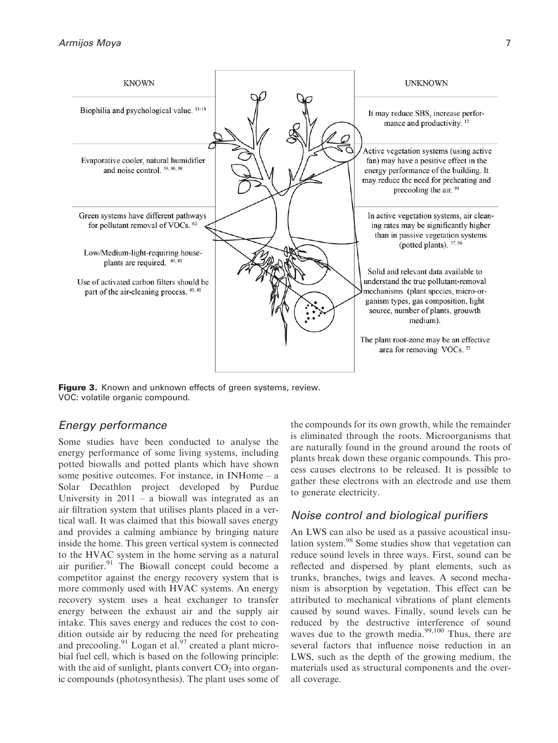

**Figure 3.** Known and unknown effects of green systems, review. VOC: volatile organic compound.

### Energy performance

Some studies have been conducted to analyse the energy performance of some living systems, including potted biowalls and potted plants which have shown some positive outcomes. For instance, in INHome – a Solar Decathlon project developed by Purdue University in  $2011 - a$  biowall was integrated as an air filtration system that utilises plants placed in a vertical wall. It was claimed that this biowall saves energy and provides a calming ambiance by bringing nature inside the home. This green vertical system is connected to the HVAC system in the home serving as a natural air purifier. $91$  The Biowall concept could become a competitor against the energy recovery system that is more commonly used with HVAC systems. An energy recovery system uses a heat exchanger to transfer energy between the exhaust air and the supply air intake. This saves energy and reduces the cost to condition outside air by reducing the need for preheating and precooling.<sup>91</sup> Logan et al.<sup>97</sup> created a plant microbial fuel cell, which is based on the following principle: with the aid of sunlight, plants convert  $CO<sub>2</sub>$  into organic compounds (photosynthesis). The plant uses some of

the compounds for its own growth, while the remainder is eliminated through the roots. Microorganisms that are naturally found in the ground around the roots of plants break down these organic compounds. This process causes electrons to be released. It is possible to gather these electrons with an electrode and use them to generate electricity.

### Noise control and biological purifiers

An LWS can also be used as a passive acoustical insulation system.<sup>98</sup> Some studies show that vegetation can reduce sound levels in three ways. First, sound can be reflected and dispersed by plant elements, such as trunks, branches, twigs and leaves. A second mechanism is absorption by vegetation. This effect can be attributed to mechanical vibrations of plant elements caused by sound waves. Finally, sound levels can be reduced by the destructive interference of sound waves due to the growth media.<sup>99,100</sup> Thus, there are several factors that influence noise reduction in an LWS, such as the depth of the growing medium, the materials used as structural components and the overall coverage.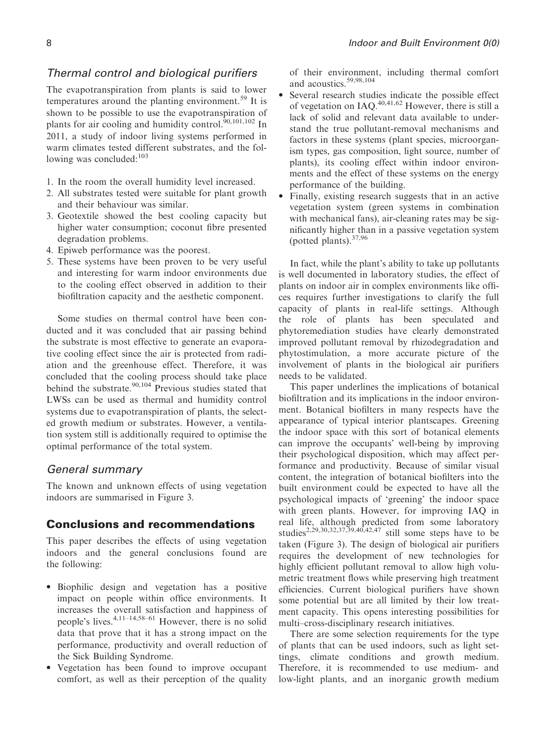## Thermal control and biological purifiers

The evapotranspiration from plants is said to lower temperatures around the planting environment.<sup>59</sup> It is shown to be possible to use the evapotranspiration of plants for air cooling and humidity control.<sup>90,101,102</sup> In 2011, a study of indoor living systems performed in warm climates tested different substrates, and the following was concluded: $103$ 

- 1. In the room the overall humidity level increased.
- 2. All substrates tested were suitable for plant growth and their behaviour was similar.
- 3. Geotextile showed the best cooling capacity but higher water consumption; coconut fibre presented degradation problems.
- 4. Epiweb performance was the poorest.
- 5. These systems have been proven to be very useful and interesting for warm indoor environments due to the cooling effect observed in addition to their biofiltration capacity and the aesthetic component.

Some studies on thermal control have been conducted and it was concluded that air passing behind the substrate is most effective to generate an evaporative cooling effect since the air is protected from radiation and the greenhouse effect. Therefore, it was concluded that the cooling process should take place behind the substrate.<sup>90,104</sup> Previous studies stated that LWSs can be used as thermal and humidity control systems due to evapotranspiration of plants, the selected growth medium or substrates. However, a ventilation system still is additionally required to optimise the optimal performance of the total system.

#### General summary

The known and unknown effects of using vegetation indoors are summarised in Figure 3.

### Conclusions and recommendations

This paper describes the effects of using vegetation indoors and the general conclusions found are the following:

- Biophilic design and vegetation has a positive impact on people within office environments. It increases the overall satisfaction and happiness of people's lives.4,11–14,58–61 However, there is no solid data that prove that it has a strong impact on the performance, productivity and overall reduction of the Sick Building Syndrome.
- Vegetation has been found to improve occupant comfort, as well as their perception of the quality

of their environment, including thermal comfort and acoustics.<sup>59,98,104</sup>

- Several research studies indicate the possible effect of vegetation on  $IAQ^{40,41,62}$  However, there is still a lack of solid and relevant data available to understand the true pollutant-removal mechanisms and factors in these systems (plant species, microorganism types, gas composition, light source, number of plants), its cooling effect within indoor environments and the effect of these systems on the energy performance of the building.
- Finally, existing research suggests that in an active vegetation system (green systems in combination with mechanical fans), air-cleaning rates may be significantly higher than in a passive vegetation system (potted plants).  $37,96$

In fact, while the plant's ability to take up pollutants is well documented in laboratory studies, the effect of plants on indoor air in complex environments like offices requires further investigations to clarify the full capacity of plants in real-life settings. Although the role of plants has been speculated and phytoremediation studies have clearly demonstrated improved pollutant removal by rhizodegradation and phytostimulation, a more accurate picture of the involvement of plants in the biological air purifiers needs to be validated.

This paper underlines the implications of botanical biofiltration and its implications in the indoor environment. Botanical biofilters in many respects have the appearance of typical interior plantscapes. Greening the indoor space with this sort of botanical elements can improve the occupants' well-being by improving their psychological disposition, which may affect performance and productivity. Because of similar visual content, the integration of botanical biofilters into the built environment could be expected to have all the psychological impacts of 'greening' the indoor space with green plants. However, for improving IAQ in real life, although predicted from some laboratory studies<sup>2,29,30,32,37,39,40,42,47</sup> still some steps have to be taken (Figure 3). The design of biological air purifiers requires the development of new technologies for highly efficient pollutant removal to allow high volumetric treatment flows while preserving high treatment efficiencies. Current biological purifiers have shown some potential but are all limited by their low treatment capacity. This opens interesting possibilities for multi–cross-disciplinary research initiatives.

There are some selection requirements for the type of plants that can be used indoors, such as light settings, climate conditions and growth medium. Therefore, it is recommended to use medium- and low-light plants, and an inorganic growth medium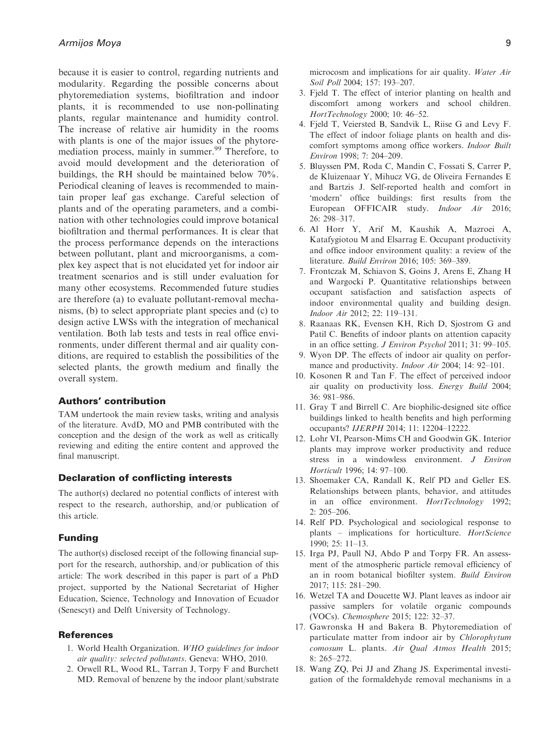because it is easier to control, regarding nutrients and modularity. Regarding the possible concerns about phytoremediation systems, biofiltration and indoor plants, it is recommended to use non-pollinating plants, regular maintenance and humidity control. The increase of relative air humidity in the rooms with plants is one of the major issues of the phytoremediation process, mainly in summer.<sup>99</sup> Therefore, to avoid mould development and the deterioration of buildings, the RH should be maintained below 70%. Periodical cleaning of leaves is recommended to maintain proper leaf gas exchange. Careful selection of plants and of the operating parameters, and a combination with other technologies could improve botanical biofiltration and thermal performances. It is clear that the process performance depends on the interactions between pollutant, plant and microorganisms, a complex key aspect that is not elucidated yet for indoor air treatment scenarios and is still under evaluation for many other ecosystems. Recommended future studies are therefore (a) to evaluate pollutant-removal mechanisms, (b) to select appropriate plant species and (c) to design active LWSs with the integration of mechanical ventilation. Both lab tests and tests in real office environments, under different thermal and air quality conditions, are required to establish the possibilities of the selected plants, the growth medium and finally the overall system.

#### Authors' contribution

TAM undertook the main review tasks, writing and analysis of the literature. AvdD, MO and PMB contributed with the conception and the design of the work as well as critically reviewing and editing the entire content and approved the final manuscript.

#### Declaration of conflicting interests

The author(s) declared no potential conflicts of interest with respect to the research, authorship, and/or publication of this article.

#### Funding

The author(s) disclosed receipt of the following financial support for the research, authorship, and/or publication of this article: The work described in this paper is part of a PhD project, supported by the National Secretariat of Higher Education, Science, Technology and Innovation of Ecuador (Senescyt) and Delft University of Technology.

#### References

- 1. World Health Organization. WHO guidelines for indoor air quality: selected pollutants. Geneva: WHO, 2010.
- 2. Orwell RL, Wood RL, Tarran J, Torpy F and Burchett MD. Removal of benzene by the indoor plant/substrate

microcosm and implications for air quality. Water Air Soil Poll 2004; 157: 193–207.

- 3. Fjeld T. The effect of interior planting on health and discomfort among workers and school children. HortTechnology 2000; 10: 46–52.
- 4. Fjeld T, Veiersted B, Sandvik L, Riise G and Levy F. The effect of indoor foliage plants on health and discomfort symptoms among office workers. Indoor Built Environ 1998; 7: 204–209.
- 5. Bluyssen PM, Roda C, Mandin C, Fossati S, Carrer P, de Kluizenaar Y, Mihucz VG, de Oliveira Fernandes E and Bartzis J. Self-reported health and comfort in 'modern' office buildings: first results from the European OFFICAIR study. Indoor Air 2016; 26: 298–317.
- 6. Al Horr Y, Arif M, Kaushik A, Mazroei A, Katafygiotou M and Elsarrag E. Occupant productivity and office indoor environment quality: a review of the literature. Build Environ 2016; 105: 369–389.
- 7. Frontczak M, Schiavon S, Goins J, Arens E, Zhang H and Wargocki P. Quantitative relationships between occupant satisfaction and satisfaction aspects of indoor environmental quality and building design. Indoor Air 2012; 22: 119–131.
- 8. Raanaas RK, Evensen KH, Rich D, Sjostrom G and Patil C. Benefits of indoor plants on attention capacity in an office setting. J Environ Psychol 2011; 31: 99–105.
- 9. Wyon DP. The effects of indoor air quality on performance and productivity. *Indoor Air* 2004; 14: 92–101.
- 10. Kosonen R and Tan F. The effect of perceived indoor air quality on productivity loss. Energy Build 2004; 36: 981–986.
- 11. Gray T and Birrell C. Are biophilic-designed site office buildings linked to health benefits and high performing occupants? IJERPH 2014; 11: 12204–12222.
- 12. Lohr VI, Pearson-Mims CH and Goodwin GK. Interior plants may improve worker productivity and reduce stress in a windowless environment. J Environ Horticult 1996; 14: 97–100.
- 13. Shoemaker CA, Randall K, Relf PD and Geller ES. Relationships between plants, behavior, and attitudes in an office environment. HortTechnology 1992; 2: 205–206.
- 14. Relf PD. Psychological and sociological response to plants – implications for horticulture. HortScience 1990; 25: 11–13.
- 15. Irga PJ, Paull NJ, Abdo P and Torpy FR. An assessment of the atmospheric particle removal efficiency of an in room botanical biofilter system. Build Environ 2017; 115: 281–290.
- 16. Wetzel TA and Doucette WJ. Plant leaves as indoor air passive samplers for volatile organic compounds (VOCs). Chemosphere 2015; 122: 32–37.
- 17. Gawronska H and Bakera B. Phytoremediation of particulate matter from indoor air by Chlorophytum comosum L. plants. Air Qual Atmos Health 2015; 8: 265–272.
- 18. Wang ZQ, Pei JJ and Zhang JS. Experimental investigation of the formaldehyde removal mechanisms in a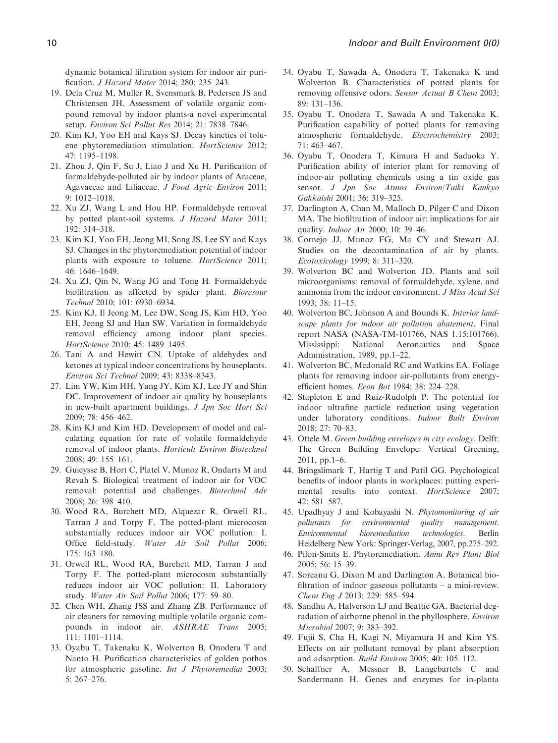dynamic botanical filtration system for indoor air purification. J Hazard Mater 2014; 280: 235–243.

- 19. Dela Cruz M, Muller R, Svensmark B, Pedersen JS and Christensen JH. Assessment of volatile organic compound removal by indoor plants-a novel experimental setup. Environ Sci Pollut Res 2014; 21: 7838–7846.
- 20. Kim KJ, Yoo EH and Kays SJ. Decay kinetics of toluene phytoremediation stimulation. HortScience 2012; 47: 1195–1198.
- 21. Zhou J, Qin F, Su J, Liao J and Xu H. Purification of formaldehyde-polluted air by indoor plants of Araceae, Agavaceae and Liliaceae. J Food Agric Environ 2011; 9: 1012–1018.
- 22. Xu ZJ, Wang L and Hou HP. Formaldehyde removal by potted plant-soil systems. J Hazard Mater 2011; 192: 314–318.
- 23. Kim KJ, Yoo EH, Jeong MI, Song JS, Lee SY and Kays SJ. Changes in the phytoremediation potential of indoor plants with exposure to toluene. HortScience 2011; 46: 1646–1649.
- 24. Xu ZJ, Qin N, Wang JG and Tong H. Formaldehyde biofiltration as affected by spider plant. Bioresour Technol 2010; 101: 6930–6934.
- 25. Kim KJ, Il Jeong M, Lee DW, Song JS, Kim HD, Yoo EH, Jeong SJ and Han SW. Variation in formaldehyde removal efficiency among indoor plant species. HortScience 2010; 45: 1489–1495.
- 26. Tani A and Hewitt CN. Uptake of aldehydes and ketones at typical indoor concentrations by houseplants. Environ Sci Technol 2009; 43: 8338–8343.
- 27. Lim YW, Kim HH, Yang JY, Kim KJ, Lee JY and Shin DC. Improvement of indoor air quality by houseplants in new-built apartment buildings. J Jpn Soc Hort Sci 2009; 78: 456–462.
- 28. Kim KJ and Kim HD. Development of model and calculating equation for rate of volatile formaldehyde removal of indoor plants. Horticult Environ Biotechnol 2008; 49: 155–161.
- 29. Guieysse B, Hort C, Platel V, Munoz R, Ondarts M and Revah S. Biological treatment of indoor air for VOC removal: potential and challenges. Biotechnol Adv 2008; 26: 398–410.
- 30. Wood RA, Burchett MD, Alquezar R, Orwell RL, Tarran J and Torpy F. The potted-plant microcosm substantially reduces indoor air VOC pollution: I. Office field-study. Water Air Soil Pollut 2006; 175: 163–180.
- 31. Orwell RL, Wood RA, Burchett MD, Tarran J and Torpy F. The potted-plant microcosm substantially reduces indoor air VOC pollution: II. Laboratory study. Water Air Soil Pollut 2006; 177: 59–80.
- 32. Chen WH, Zhang JSS and Zhang ZB. Performance of air cleaners for removing multiple volatile organic compounds in indoor air. ASHRAE Trans 2005; 111: 1101–1114.
- 33. Oyabu T, Takenaka K, Wolverton B, Onodera T and Nanto H. Purification characteristics of golden pothos for atmospheric gasoline. Int J Phytoremediat 2003; 5: 267–276.
- 34. Oyabu T, Sawada A, Onodera T, Takenaka K and Wolverton B. Characteristics of potted plants for removing offensive odors. Sensor Actuat B Chem 2003; 89: 131–136.
- 35. Oyabu T, Onodera T, Sawada A and Takenaka K. Purification capability of potted plants for removing atmospheric formaldehyde. Electrochemistry 2003; 71: 463–467.
- 36. Oyabu T, Onodera T, Kimura H and Sadaoka Y. Purification ability of interior plant for removing of indoor-air polluting chemicals using a tin oxide gas sensor. J Jpn Soc Atmos Environ/Taiki Kankyo Gakkaishi 2001; 36: 319–325.
- 37. Darlington A, Chan M, Malloch D, Pilger C and Dixon MA. The biofiltration of indoor air: implications for air quality. Indoor Air 2000; 10: 39–46.
- 38. Cornejo JJ, Munoz FG, Ma CY and Stewart AJ. Studies on the decontamination of air by plants. Ecotoxicology 1999; 8: 311–320.
- 39. Wolverton BC and Wolverton JD. Plants and soil microorganisms: removal of formaldehyde, xylene, and ammonia from the indoor environment. J Miss Acad Sci 1993; 38: 11–15.
- 40. Wolverton BC, Johnson A and Bounds K. Interior landscape plants for indoor air pollution abatement. Final report NASA (NASA-TM-101766, NAS 1.15:101766). Mississippi: National Aeronautics and Space Administration, 1989, pp.1–22.
- 41. Wolverton BC, Mcdonald RC and Watkins EA. Foliage plants for removing indoor air-pollutants from energyefficient homes. Econ Bot 1984; 38: 224–228.
- 42. Stapleton E and Ruiz-Rudolph P. The potential for indoor ultrafine particle reduction using vegetation under laboratory conditions. Indoor Built Environ 2018; 27: 70–83.
- 43. Ottele M. Green building envelopes in city ecology. Delft: The Green Building Envelope: Vertical Greening, 2011, pp.1–6.
- 44. Bringslimark T, Hartig T and Patil GG. Psychological benefits of indoor plants in workplaces: putting experimental results into context. HortScience 2007; 42: 581–587.
- 45. Upadhyay J and Kobayashi N. Phytomonitoring of air pollutants for environmental quality management. Environmental bioremediation technologies. Berlin Heidelberg New York: Springer-Verlag, 2007, pp.275–292.
- 46. Pilon-Smits E. Phytoremediation. Annu Rev Plant Biol 2005; 56: 15–39.
- 47. Soreanu G, Dixon M and Darlington A. Botanical biofiltration of indoor gaseous pollutants – a mini-review. Chem Eng J 2013; 229: 585–594.
- 48. Sandhu A, Halverson LJ and Beattie GA. Bacterial degradation of airborne phenol in the phyllosphere. Environ Microbiol 2007; 9: 383–392.
- 49. Fujii S, Cha H, Kagi N, Miyamura H and Kim YS. Effects on air pollutant removal by plant absorption and adsorption. Build Environ 2005; 40: 105–112.
- 50. Schaffner A, Messner B, Langebartels C and Sandermann H. Genes and enzymes for in-planta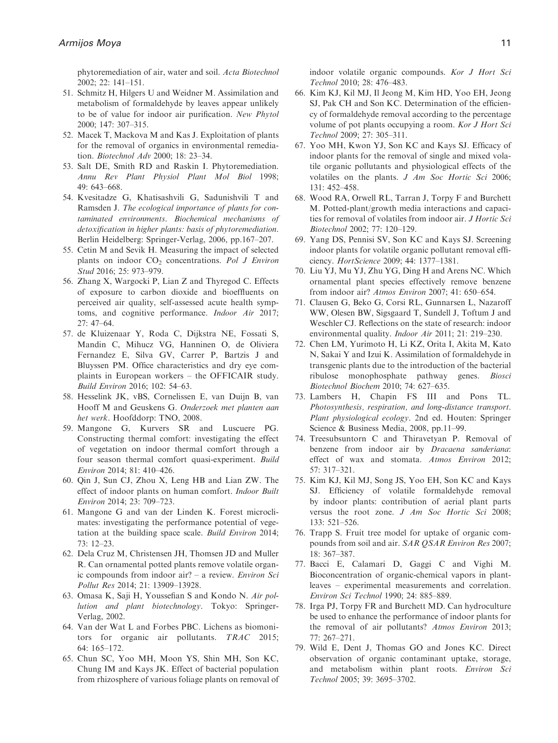phytoremediation of air, water and soil. Acta Biotechnol 2002; 22: 141–151.

- 51. Schmitz H, Hilgers U and Weidner M. Assimilation and metabolism of formaldehyde by leaves appear unlikely to be of value for indoor air purification. New Phytol 2000; 147: 307–315.
- 52. Macek T, Mackova M and Kas J. Exploitation of plants for the removal of organics in environmental remediation. Biotechnol Adv 2000; 18: 23–34.
- 53. Salt DE, Smith RD and Raskin I. Phytoremediation. Annu Rev Plant Physiol Plant Mol Biol 1998; 49: 643–668.
- 54. Kvesitadze G, Khatisashvili G, Sadunishvili T and Ramsden J. The ecological importance of plants for contaminated environments. Biochemical mechanisms of detoxification in higher plants: basis of phytoremediation. Berlin Heidelberg: Springer-Verlag, 2006, pp.167–207.
- 55. Cetin M and Sevik H. Measuring the impact of selected plants on indoor  $CO<sub>2</sub>$  concentrations. Pol J Environ Stud 2016; 25: 973–979.
- 56. Zhang X, Wargocki P, Lian Z and Thyregod C. Effects of exposure to carbon dioxide and bioeffluents on perceived air quality, self-assessed acute health symptoms, and cognitive performance. Indoor Air 2017; 27: 47–64.
- 57. de Kluizenaar Y, Roda C, Dijkstra NE, Fossati S, Mandin C, Mihucz VG, Hanninen O, de Oliviera Fernandez E, Silva GV, Carrer P, Bartzis J and Bluyssen PM. Office characteristics and dry eye complaints in European workers – the OFFICAIR study. Build Environ 2016; 102: 54–63.
- 58. Hesselink JK, vBS, Cornelissen E, van Duijn B, van Hooff M and Geuskens G. Onderzoek met planten aan het werk. Hoofddorp: TNO, 2008.
- 59. Mangone G, Kurvers SR and Luscuere PG. Constructing thermal comfort: investigating the effect of vegetation on indoor thermal comfort through a four season thermal comfort quasi-experiment. Build Environ 2014; 81: 410–426.
- 60. Qin J, Sun CJ, Zhou X, Leng HB and Lian ZW. The effect of indoor plants on human comfort. Indoor Built Environ 2014; 23: 709–723.
- 61. Mangone G and van der Linden K. Forest microclimates: investigating the performance potential of vegetation at the building space scale. Build Environ 2014; 73: 12–23.
- 62. Dela Cruz M, Christensen JH, Thomsen JD and Muller R. Can ornamental potted plants remove volatile organic compounds from indoor air? – a review. Environ Sci Pollut Res 2014; 21: 13909–13928.
- 63. Omasa K, Saji H, Youssefian S and Kondo N. Air pollution and plant biotechnology. Tokyo: Springer-Verlag, 2002.
- 64. Van der Wat L and Forbes PBC. Lichens as biomonitors for organic air pollutants. TRAC 2015; 64: 165–172.
- 65. Chun SC, Yoo MH, Moon YS, Shin MH, Son KC, Chung IM and Kays JK. Effect of bacterial population from rhizosphere of various foliage plants on removal of

indoor volatile organic compounds. Kor J Hort Sci Technol 2010; 28: 476–483.

- 66. Kim KJ, Kil MJ, Il Jeong M, Kim HD, Yoo EH, Jeong SJ, Pak CH and Son KC. Determination of the efficiency of formaldehyde removal according to the percentage volume of pot plants occupying a room. Kor J Hort Sci Technol 2009; 27: 305–311.
- 67. Yoo MH, Kwon YJ, Son KC and Kays SJ. Efficacy of indoor plants for the removal of single and mixed volatile organic pollutants and physiological effects of the volatiles on the plants. J Am Soc Hortic Sci 2006; 131: 452–458.
- 68. Wood RA, Orwell RL, Tarran J, Torpy F and Burchett M. Potted-plant/growth media interactions and capacities for removal of volatiles from indoor air. J Hortic Sci Biotechnol 2002; 77: 120–129.
- 69. Yang DS, Pennisi SV, Son KC and Kays SJ. Screening indoor plants for volatile organic pollutant removal efficiency. HortScience 2009; 44: 1377–1381.
- 70. Liu YJ, Mu YJ, Zhu YG, Ding H and Arens NC. Which ornamental plant species effectively remove benzene from indoor air? Atmos Environ 2007; 41: 650–654.
- 71. Clausen G, Beko G, Corsi RL, Gunnarsen L, Nazaroff WW, Olesen BW, Sigsgaard T, Sundell J, Toftum J and Weschler CJ. Reflections on the state of research: indoor environmental quality. Indoor Air 2011; 21: 219–230.
- 72. Chen LM, Yurimoto H, Li KZ, Orita I, Akita M, Kato N, Sakai Y and Izui K. Assimilation of formaldehyde in transgenic plants due to the introduction of the bacterial ribulose monophosphate pathway genes. Biosci Biotechnol Biochem 2010; 74: 627–635.
- 73. Lambers H, Chapin FS III and Pons TL. Photosynthesis, respiration, and long-distance transport. Plant physiological ecology. 2nd ed. Houten: Springer Science & Business Media, 2008, pp.11–99.
- 74. Treesubsuntorn C and Thiravetyan P. Removal of benzene from indoor air by Dracaena sanderiana: effect of wax and stomata. Atmos Environ 2012; 57: 317–321.
- 75. Kim KJ, Kil MJ, Song JS, Yoo EH, Son KC and Kays SJ. Efficiency of volatile formaldehyde removal by indoor plants: contribution of aerial plant parts versus the root zone. J Am Soc Hortic Sci 2008; 133: 521–526.
- 76. Trapp S. Fruit tree model for uptake of organic compounds from soil and air. SAR QSAR Environ Res 2007; 18: 367–387.
- 77. Bacci E, Calamari D, Gaggi C and Vighi M. Bioconcentration of organic-chemical vapors in plantleaves – experimental measurements and correlation. Environ Sci Technol 1990; 24: 885–889.
- 78. Irga PJ, Torpy FR and Burchett MD. Can hydroculture be used to enhance the performance of indoor plants for the removal of air pollutants? Atmos Environ 2013; 77: 267–271.
- 79. Wild E, Dent J, Thomas GO and Jones KC. Direct observation of organic contaminant uptake, storage, and metabolism within plant roots. Environ Sci Technol 2005; 39: 3695–3702.